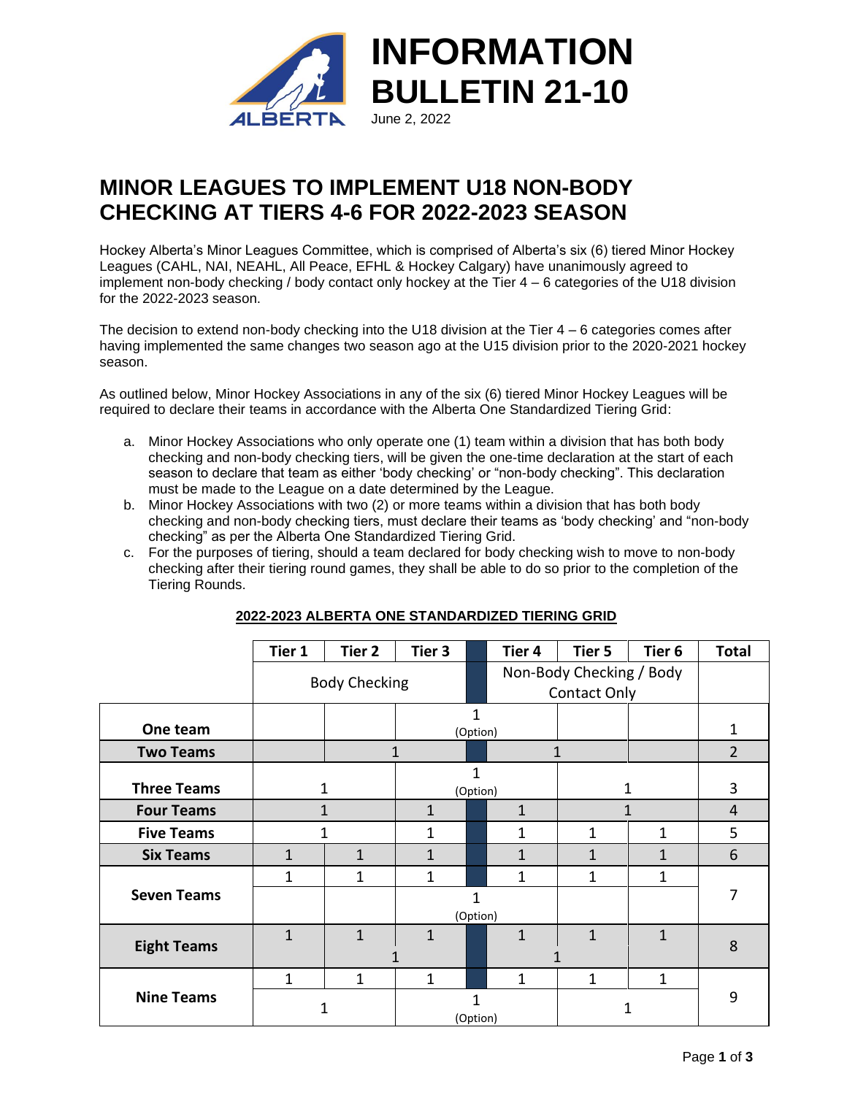

# **MINOR LEAGUES TO IMPLEMENT U18 NON-BODY CHECKING AT TIERS 4-6 FOR 2022-2023 SEASON**

Hockey Alberta's Minor Leagues Committee, which is comprised of Alberta's six (6) tiered Minor Hockey Leagues (CAHL, NAI, NEAHL, All Peace, EFHL & Hockey Calgary) have unanimously agreed to implement non-body checking / body contact only hockey at the Tier 4 – 6 categories of the U18 division for the 2022-2023 season.

The decision to extend non-body checking into the U18 division at the Tier  $4 - 6$  categories comes after having implemented the same changes two season ago at the U15 division prior to the 2020-2021 hockey season.

As outlined below, Minor Hockey Associations in any of the six (6) tiered Minor Hockey Leagues will be required to declare their teams in accordance with the Alberta One Standardized Tiering Grid:

- a. Minor Hockey Associations who only operate one (1) team within a division that has both body checking and non-body checking tiers, will be given the one-time declaration at the start of each season to declare that team as either 'body checking' or "non-body checking". This declaration must be made to the League on a date determined by the League.
- b. Minor Hockey Associations with two (2) or more teams within a division that has both body checking and non-body checking tiers, must declare their teams as 'body checking' and "non-body checking" as per the Alberta One Standardized Tiering Grid.
- c. For the purposes of tiering, should a team declared for body checking wish to move to non-body checking after their tiering round games, they shall be able to do so prior to the completion of the Tiering Rounds.

|                    | Tier 1               | Tier <sub>2</sub>                               | Tier 3        |               | Tier <sub>4</sub> | Tier 5       | Tier <sub>6</sub> | <b>Total</b> |
|--------------------|----------------------|-------------------------------------------------|---------------|---------------|-------------------|--------------|-------------------|--------------|
|                    | <b>Body Checking</b> | Non-Body Checking / Body<br><b>Contact Only</b> |               |               |                   |              |                   |              |
| One team           |                      |                                                 |               | 1<br>(Option) |                   |              |                   | 1            |
| <b>Two Teams</b>   |                      | 1<br>1                                          |               |               |                   |              | $\overline{2}$    |              |
| <b>Three Teams</b> | 1                    |                                                 | 1<br>(Option) |               |                   |              |                   | 3            |
| <b>Four Teams</b>  | 1                    |                                                 | $\mathbf{1}$  |               | $\mathbf{1}$      |              |                   | 4            |
| <b>Five Teams</b>  | 1                    |                                                 | 1             |               | 1                 | 1            | 1                 | 5            |
| <b>Six Teams</b>   | 1                    | $\mathbf{1}$                                    | $\mathbf{1}$  |               | 1                 | 1            | 1                 | 6            |
|                    | 1                    | 1                                               | $\mathbf{1}$  |               | 1                 | 1            | 1                 |              |
| <b>Seven Teams</b> |                      |                                                 |               | 1<br>(Option) |                   |              |                   | 7            |
|                    | $\mathbf{1}$         | 1                                               | $\mathbf{1}$  |               | 1                 | $\mathbf{1}$ | $\mathbf{1}$      | 8            |
| <b>Eight Teams</b> |                      |                                                 |               |               |                   |              |                   |              |
|                    | 1                    | 1                                               | 1             |               | 1                 | 1            | 1                 |              |
| <b>Nine Teams</b>  | 1                    |                                                 | 1<br>(Option) |               |                   |              | 9                 |              |

### **2022-2023 ALBERTA ONE STANDARDIZED TIERING GRID**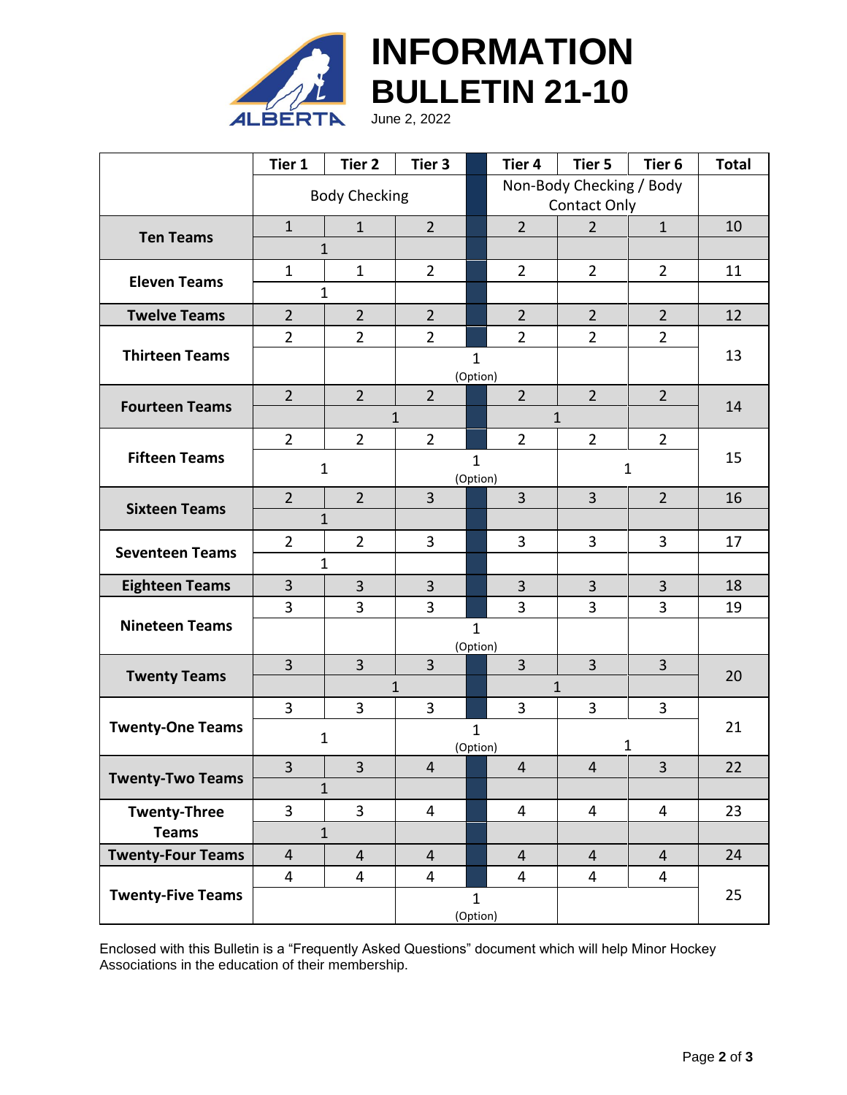

|                          | Tier 1                   | Tier 2               | Tier 3                                   |              | Tier 4         | Tier 5         | Tier <sub>6</sub> | <b>Total</b> |  |
|--------------------------|--------------------------|----------------------|------------------------------------------|--------------|----------------|----------------|-------------------|--------------|--|
|                          |                          | <b>Body Checking</b> | Non-Body Checking / Body<br>Contact Only |              |                |                |                   |              |  |
| <b>Ten Teams</b>         | $\mathbf{1}$             | $\mathbf{1}$         | $\overline{2}$                           |              | $\overline{2}$ | $\overline{2}$ | $\mathbf{1}$      | 10           |  |
|                          | $\mathbf{1}$             |                      |                                          |              |                |                |                   |              |  |
| <b>Eleven Teams</b>      | $\mathbf{1}$             | $\mathbf{1}$         | $\overline{2}$                           |              | $\overline{2}$ | $\overline{2}$ | $\overline{2}$    | 11           |  |
|                          |                          | $\mathbf{1}$         |                                          |              |                |                |                   |              |  |
| <b>Twelve Teams</b>      | $\overline{2}$           | $\overline{2}$       | $\overline{2}$                           |              | $\overline{2}$ | $\overline{2}$ | $\overline{2}$    | 12           |  |
| <b>Thirteen Teams</b>    | $\overline{2}$           | $\overline{2}$       | $\overline{2}$                           |              | $\overline{2}$ | $\overline{2}$ | $\overline{2}$    |              |  |
|                          |                          |                      | $\mathbf{1}$<br>(Option)                 |              |                |                | 13                |              |  |
| <b>Fourteen Teams</b>    | $\overline{2}$           | $\overline{2}$       | $\overline{2}$                           |              | $\overline{2}$ | $\overline{2}$ | $\overline{2}$    | 14           |  |
|                          |                          |                      | $\mathbf 1$                              | $\mathbf 1$  |                |                |                   |              |  |
|                          | $\overline{2}$           | $\overline{2}$       | $\overline{2}$                           |              | $\overline{2}$ | $\overline{2}$ | $\overline{2}$    |              |  |
| <b>Fifteen Teams</b>     | $\mathbf{1}$             |                      | $\mathbf{1}$<br>(Option)                 |              |                | $\mathbf{1}$   |                   | 15           |  |
| <b>Sixteen Teams</b>     | $\overline{2}$           | $\overline{2}$       | $\overline{3}$                           |              | $\overline{3}$ | $\overline{3}$ | $\overline{2}$    | 16           |  |
|                          |                          | $\mathbf{1}$         |                                          |              |                |                |                   |              |  |
| <b>Seventeen Teams</b>   | $\overline{2}$           | $\overline{2}$       | 3                                        |              | 3              | $\overline{3}$ | $\overline{3}$    | 17           |  |
|                          | $\mathbf{1}$             |                      |                                          |              |                |                |                   |              |  |
| <b>Eighteen Teams</b>    | $\overline{3}$           | 3                    | $\overline{3}$                           |              | $\overline{3}$ | 3              | $\overline{3}$    | 18           |  |
| <b>Nineteen Teams</b>    | 3                        | $\overline{3}$       | $\overline{3}$                           |              | $\overline{3}$ | $\overline{3}$ | $\overline{3}$    | 19           |  |
|                          | $\mathbf{1}$<br>(Option) |                      |                                          |              |                |                |                   |              |  |
| <b>Twenty Teams</b>      | $\overline{3}$           | $\overline{3}$       | $\overline{3}$                           |              | $\overline{3}$ | $\overline{3}$ | $\overline{3}$    | 20           |  |
|                          |                          |                      | 1                                        | $\mathbf{1}$ |                |                |                   |              |  |
| <b>Twenty-One Teams</b>  | 3                        | 3                    | $\overline{3}$                           |              | $\overline{3}$ | 3              | 3                 |              |  |
|                          | $\mathbf{1}$             |                      | $\mathbf{1}$<br>(Option)                 |              | 1              |                | 21                |              |  |
| <b>Twenty-Two Teams</b>  | 3                        | 3                    | 4                                        |              | $\overline{4}$ | 4              | 3                 | 22           |  |
|                          | $\mathbf{1}$             |                      |                                          |              |                |                |                   |              |  |
| <b>Twenty-Three</b>      | 3                        | $\overline{3}$       | 4                                        |              | 4              | $\overline{4}$ | $\overline{4}$    | 23           |  |
| <b>Teams</b>             | $\mathbf{1}$             |                      |                                          |              |                |                |                   |              |  |
| <b>Twenty-Four Teams</b> | $\overline{4}$           | $\overline{4}$       | $\overline{4}$                           |              | $\overline{4}$ | $\overline{4}$ | $\overline{4}$    | 24           |  |
| <b>Twenty-Five Teams</b> | $\overline{4}$           | 4                    | 4                                        |              | $\overline{4}$ | 4              | $\overline{4}$    |              |  |
|                          | $\mathbf{1}$<br>(Option) |                      |                                          |              |                |                | 25                |              |  |

Enclosed with this Bulletin is a "Frequently Asked Questions" document which will help Minor Hockey Associations in the education of their membership.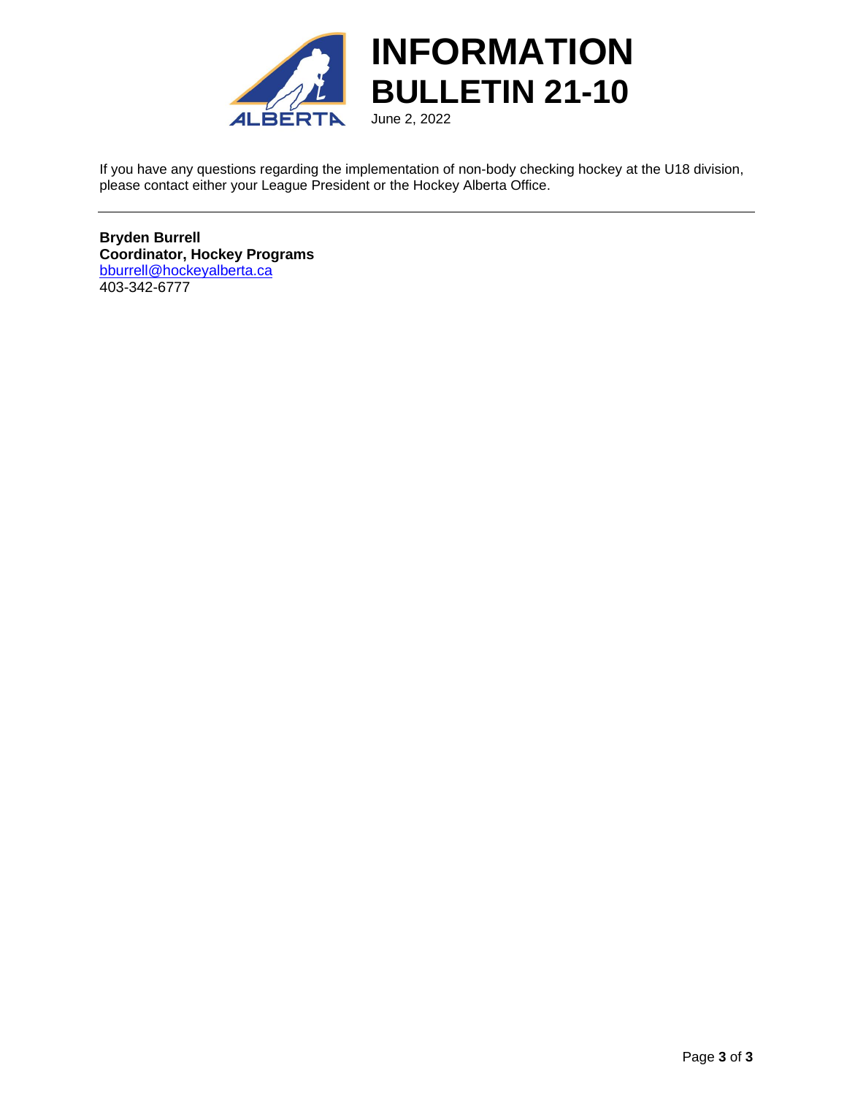

If you have any questions regarding the implementation of non-body checking hockey at the U18 division, please contact either your League President or the Hockey Alberta Office.

**Bryden Burrell Coordinator, Hockey Programs** [bburrell@hockeyalberta.ca](mailto:bburrell@hockeyalberta.ca) 403-342-6777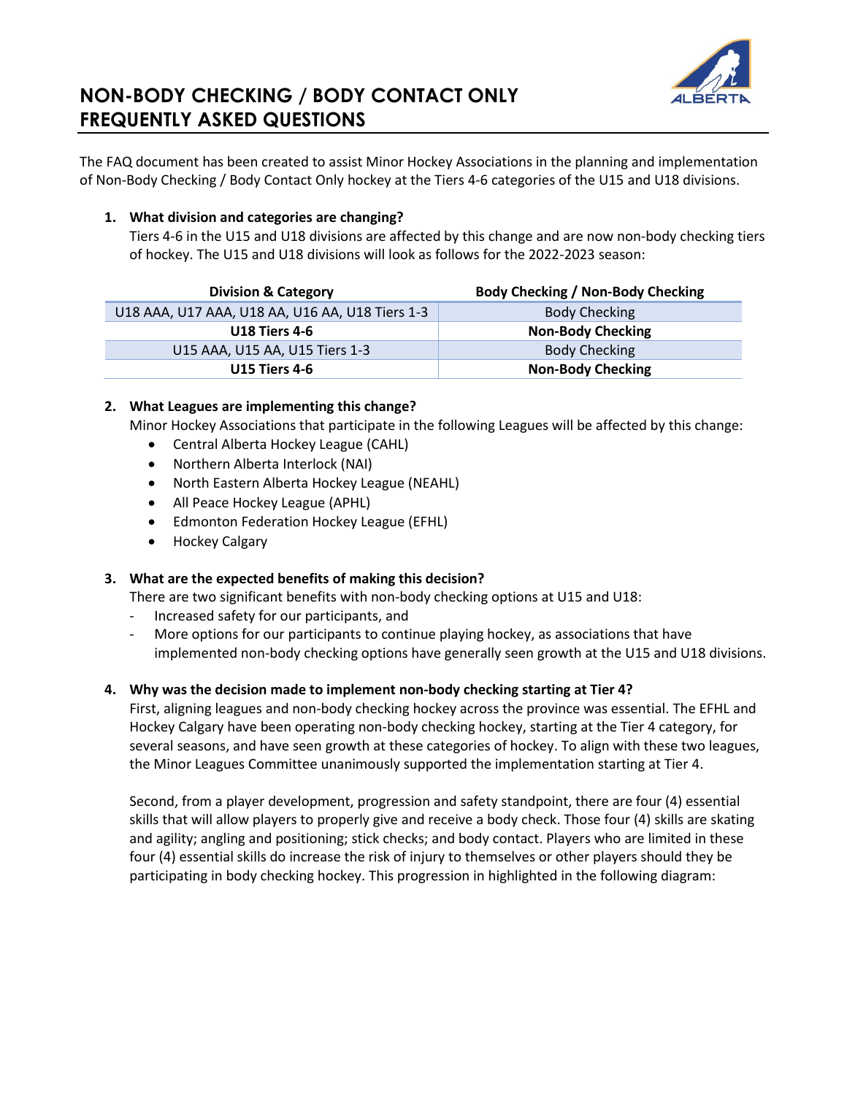

The FAQ document has been created to assist Minor Hockey Associations in the planning and implementation of Non-Body Checking / Body Contact Only hockey at the Tiers 4-6 categories of the U15 and U18 divisions.

#### **1. What division and categories are changing?**

Tiers 4-6 in the U15 and U18 divisions are affected by this change and are now non-body checking tiers of hockey. The U15 and U18 divisions will look as follows for the 2022-2023 season:

| <b>Division &amp; Category</b>                  | <b>Body Checking / Non-Body Checking</b> |
|-------------------------------------------------|------------------------------------------|
| U18 AAA, U17 AAA, U18 AA, U16 AA, U18 Tiers 1-3 | <b>Body Checking</b>                     |
| <b>U18 Tiers 4-6</b>                            | <b>Non-Body Checking</b>                 |
| U15 AAA, U15 AA, U15 Tiers 1-3                  | <b>Body Checking</b>                     |
| <b>U15 Tiers 4-6</b>                            | <b>Non-Body Checking</b>                 |

#### **2. What Leagues are implementing this change?**

Minor Hockey Associations that participate in the following Leagues will be affected by this change:

- Central Alberta Hockey League (CAHL)
- Northern Alberta Interlock (NAI)
- North Eastern Alberta Hockey League (NEAHL)
- All Peace Hockey League (APHL)
- Edmonton Federation Hockey League (EFHL)
- Hockey Calgary

#### **3. What are the expected benefits of making this decision?**

There are two significant benefits with non-body checking options at U15 and U18:

- Increased safety for our participants, and
- More options for our participants to continue playing hockey, as associations that have implemented non-body checking options have generally seen growth at the U15 and U18 divisions.

#### **4. Why was the decision made to implement non-body checking starting at Tier 4?**

First, aligning leagues and non-body checking hockey across the province was essential. The EFHL and Hockey Calgary have been operating non-body checking hockey, starting at the Tier 4 category, for several seasons, and have seen growth at these categories of hockey. To align with these two leagues, the Minor Leagues Committee unanimously supported the implementation starting at Tier 4.

Second, from a player development, progression and safety standpoint, there are four (4) essential skills that will allow players to properly give and receive a body check. Those four (4) skills are skating and agility; angling and positioning; stick checks; and body contact. Players who are limited in these four (4) essential skills do increase the risk of injury to themselves or other players should they be participating in body checking hockey. This progression in highlighted in the following diagram: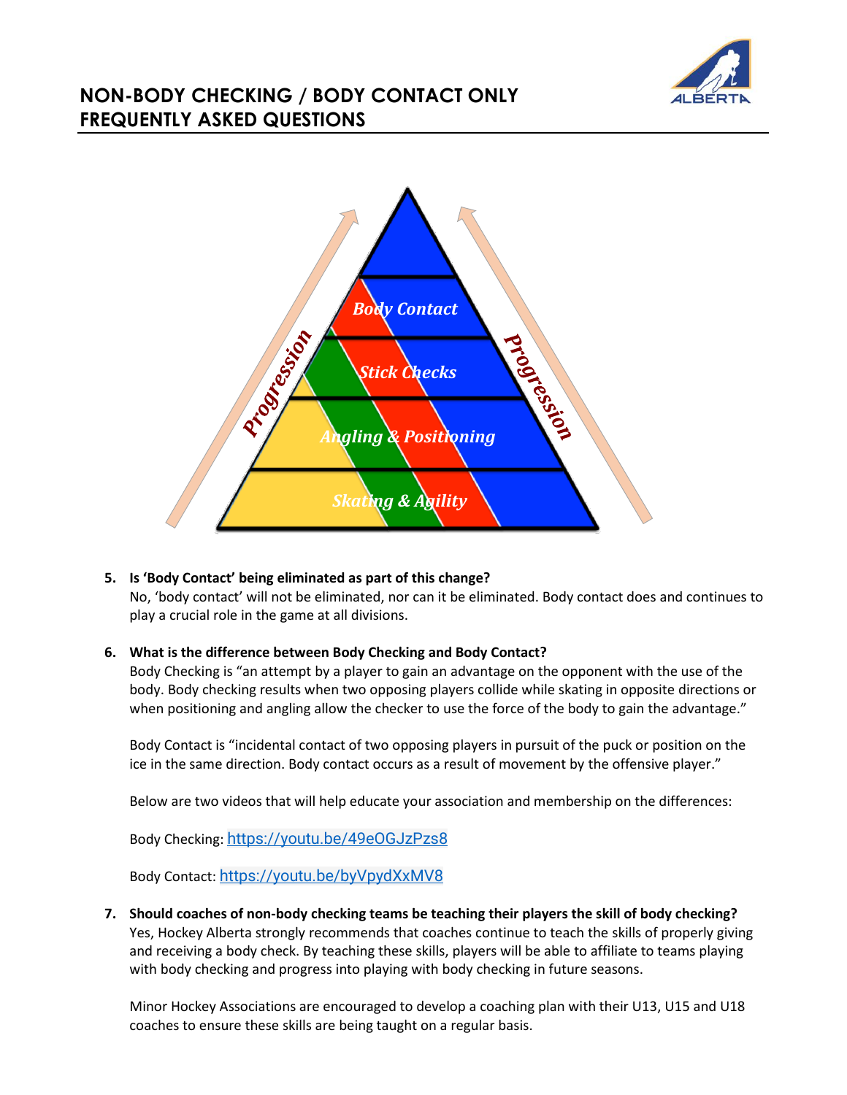



**5. Is 'Body Contact' being eliminated as part of this change?**

No, 'body contact' will not be eliminated, nor can it be eliminated. Body contact does and continues to play a crucial role in the game at all divisions.

#### **6. What is the difference between Body Checking and Body Contact?**

Body Checking is "an attempt by a player to gain an advantage on the opponent with the use of the body. Body checking results when two opposing players collide while skating in opposite directions or when positioning and angling allow the checker to use the force of the body to gain the advantage."

Body Contact is "incidental contact of two opposing players in pursuit of the puck or position on the ice in the same direction. Body contact occurs as a result of movement by the offensive player."

Below are two videos that will help educate your association and membership on the differences:

Body Checking: <https://youtu.be/49eOGJzPzs8>

Body Contact: <https://youtu.be/byVpydXxMV8>

**7. Should coaches of non-body checking teams be teaching their players the skill of body checking?** Yes, Hockey Alberta strongly recommends that coaches continue to teach the skills of properly giving and receiving a body check. By teaching these skills, players will be able to affiliate to teams playing with body checking and progress into playing with body checking in future seasons.

Minor Hockey Associations are encouraged to develop a coaching plan with their U13, U15 and U18 coaches to ensure these skills are being taught on a regular basis.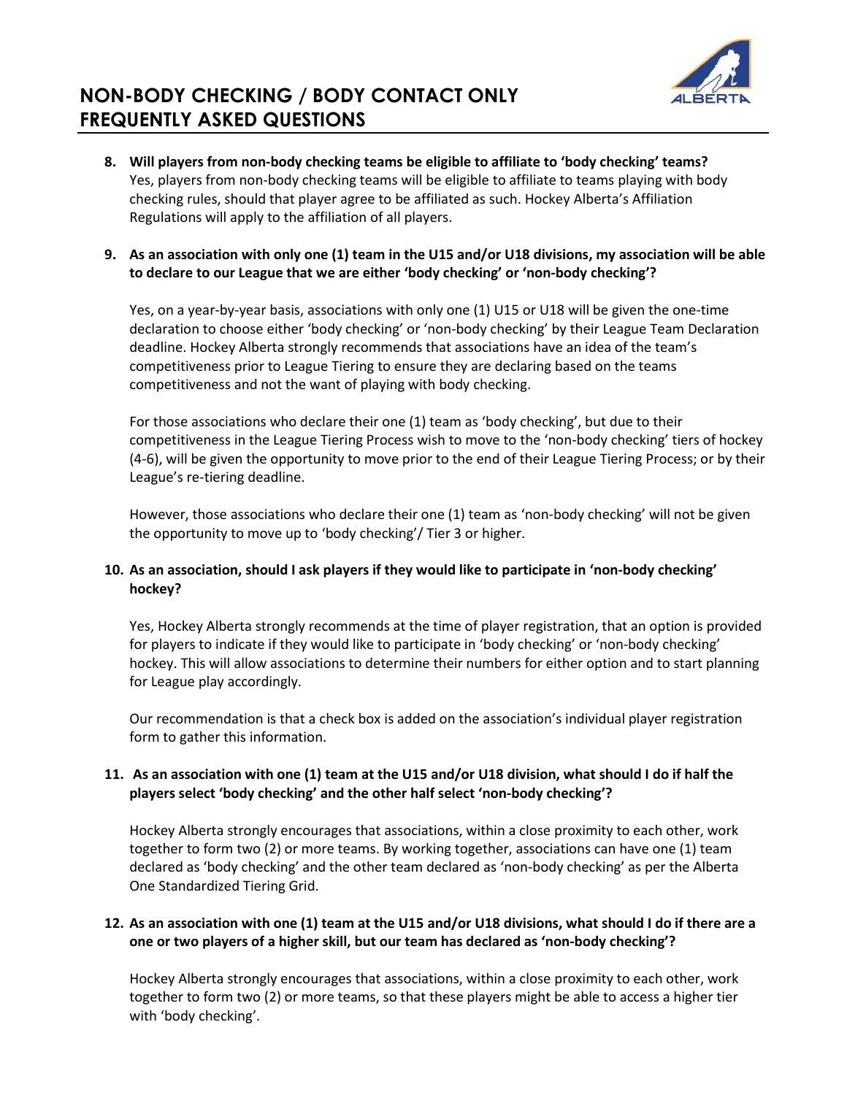

**8. Will players from non-body checking teams be eligible to affiliate to 'body checking' teams?** Yes, players from non-body checking teams will be eligible to affiliate to teams playing with body checking rules, should that player agree to be affiliated as such. Hockey Alberta's Affiliation Regulations will apply to the affiliation of all players.

#### **9. As an association with only one (1) team in the U15 and/or U18 divisions, my association will be able to declare to our League that we are either 'body checking' or 'non-body checking'?**

Yes, on a year-by-year basis, associations with only one (1) U15 or U18 will be given the one-time declaration to choose either 'body checking' or 'non-body checking' by their League Team Declaration deadline. Hockey Alberta strongly recommends that associations have an idea of the team's competitiveness prior to League Tiering to ensure they are declaring based on the teams competitiveness and not the want of playing with body checking.

For those associations who declare their one (1) team as 'body checking', but due to their competitiveness in the League Tiering Process wish to move to the 'non-body checking' tiers of hockey (4-6), will be given the opportunity to move prior to the end of their League Tiering Process; or by their League's re-tiering deadline.

However, those associations who declare their one (1) team as 'non-body checking' will not be given the opportunity to move up to 'body checking'/ Tier 3 or higher.

### **10. As an association, should I ask players if they would like to participate in 'non-body checking' hockey?**

Yes, Hockey Alberta strongly recommends at the time of player registration, that an option is provided for players to indicate if they would like to participate in 'body checking' or 'non-body checking' hockey. This will allow associations to determine their numbers for either option and to start planning for League play accordingly.

Our recommendation is that a check box is added on the association's individual player registration form to gather this information.

#### **11. As an association with one (1) team at the U15 and/or U18 division, what should I do if half the players select 'body checking' and the other half select 'non-body checking'?**

Hockey Alberta strongly encourages that associations, within a close proximity to each other, work together to form two (2) or more teams. By working together, associations can have one (1) team declared as 'body checking' and the other team declared as 'non-body checking' as per the Alberta One Standardized Tiering Grid.

#### **12. As an association with one (1) team at the U15 and/or U18 divisions, what should I do if there are a one or two players of a higher skill, but our team has declared as 'non-body checking'?**

Hockey Alberta strongly encourages that associations, within a close proximity to each other, work together to form two (2) or more teams, so that these players might be able to access a higher tier with 'body checking'.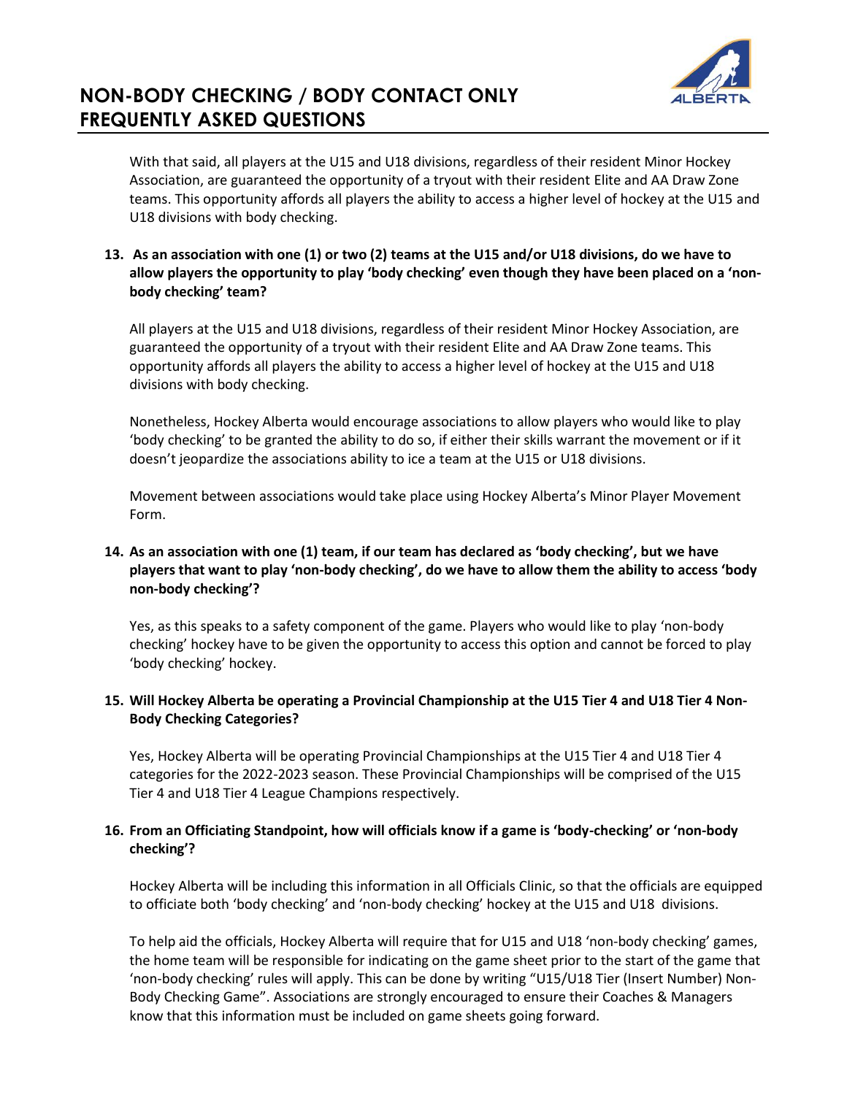

With that said, all players at the U15 and U18 divisions, regardless of their resident Minor Hockey Association, are guaranteed the opportunity of a tryout with their resident Elite and AA Draw Zone teams. This opportunity affords all players the ability to access a higher level of hockey at the U15 and U18 divisions with body checking.

#### **13. As an association with one (1) or two (2) teams at the U15 and/or U18 divisions, do we have to allow players the opportunity to play 'body checking' even though they have been placed on a 'nonbody checking' team?**

All players at the U15 and U18 divisions, regardless of their resident Minor Hockey Association, are guaranteed the opportunity of a tryout with their resident Elite and AA Draw Zone teams. This opportunity affords all players the ability to access a higher level of hockey at the U15 and U18 divisions with body checking.

Nonetheless, Hockey Alberta would encourage associations to allow players who would like to play 'body checking' to be granted the ability to do so, if either their skills warrant the movement or if it doesn't jeopardize the associations ability to ice a team at the U15 or U18 divisions.

Movement between associations would take place using Hockey Alberta's Minor Player Movement Form.

### **14. As an association with one (1) team, if our team has declared as 'body checking', but we have players that want to play 'non-body checking', do we have to allow them the ability to access 'body non-body checking'?**

Yes, as this speaks to a safety component of the game. Players who would like to play 'non-body checking' hockey have to be given the opportunity to access this option and cannot be forced to play 'body checking' hockey.

#### **15. Will Hockey Alberta be operating a Provincial Championship at the U15 Tier 4 and U18 Tier 4 Non-Body Checking Categories?**

Yes, Hockey Alberta will be operating Provincial Championships at the U15 Tier 4 and U18 Tier 4 categories for the 2022-2023 season. These Provincial Championships will be comprised of the U15 Tier 4 and U18 Tier 4 League Champions respectively.

#### **16. From an Officiating Standpoint, how will officials know if a game is 'body-checking' or 'non-body checking'?**

Hockey Alberta will be including this information in all Officials Clinic, so that the officials are equipped to officiate both 'body checking' and 'non-body checking' hockey at the U15 and U18 divisions.

To help aid the officials, Hockey Alberta will require that for U15 and U18 'non-body checking' games, the home team will be responsible for indicating on the game sheet prior to the start of the game that 'non-body checking' rules will apply. This can be done by writing "U15/U18 Tier (Insert Number) Non-Body Checking Game". Associations are strongly encouraged to ensure their Coaches & Managers know that this information must be included on game sheets going forward.